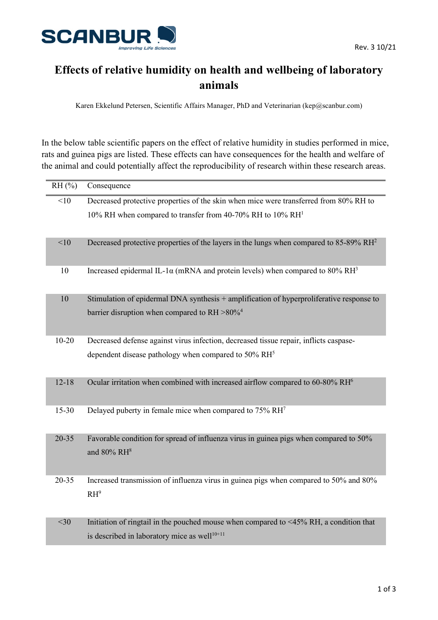

## **Effects of relative humidity on health and wellbeing of laboratory animals**

Karen Ekkelund Petersen, Scientific Affairs Manager, PhD and Veterinarian (kep@scanbur.com)

In the below table scientific papers on the effect of relative humidity in studies performed in mice, rats and guinea pigs are listed. These effects can have consequences for the health and welfare of the animal and could potentially affect the reproducibility of research within these research areas.

| $RH$ (%)  | Consequence                                                                                                      |
|-----------|------------------------------------------------------------------------------------------------------------------|
| <10       | Decreased protective properties of the skin when mice were transferred from 80% RH to                            |
|           | 10% RH when compared to transfer from 40-70% RH to 10% RH <sup>1</sup>                                           |
|           |                                                                                                                  |
| <10       | Decreased protective properties of the layers in the lungs when compared to 85-89% RH <sup>2</sup>               |
| 10        | Increased epidermal IL-1 $\alpha$ (mRNA and protein levels) when compared to 80% RH <sup>3</sup>                 |
| 10        | Stimulation of epidermal DNA synthesis $+$ amplification of hyperproliferative response to                       |
|           | barrier disruption when compared to RH >80% <sup>4</sup>                                                         |
| $10 - 20$ | Decreased defense against virus infection, decreased tissue repair, inflicts caspase-                            |
|           | dependent disease pathology when compared to $50\% \, \text{RH}^5$                                               |
| $12 - 18$ | Ocular irritation when combined with increased airflow compared to 60-80% RH <sup>6</sup>                        |
| 15-30     | Delayed puberty in female mice when compared to 75% RH <sup>7</sup>                                              |
| $20 - 35$ | Favorable condition for spread of influenza virus in guinea pigs when compared to 50%<br>and 80% RH <sup>8</sup> |
| $20 - 35$ | Increased transmission of influenza virus in guinea pigs when compared to 50% and 80%<br>$RH^9$                  |
| $<$ 30    | Initiation of ringtail in the pouched mouse when compared to <45% RH, a condition that                           |
|           | is described in laboratory mice as well <sup>10+11</sup>                                                         |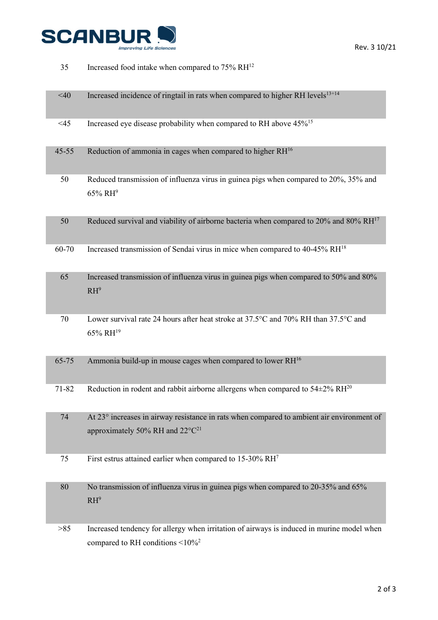

| 35        | Increased food intake when compared to 75% RH <sup>12</sup>                                                                              |
|-----------|------------------------------------------------------------------------------------------------------------------------------------------|
| $<$ 40    | Increased incidence of ringtail in rats when compared to higher RH levels <sup>13+14</sup>                                               |
| $<$ 45    | Increased eye disease probability when compared to RH above 45% <sup>15</sup>                                                            |
| $45 - 55$ | Reduction of ammonia in cages when compared to higher RH <sup>16</sup>                                                                   |
| 50        | Reduced transmission of influenza virus in guinea pigs when compared to 20%, 35% and<br>$65\%$ RH <sup>9</sup>                           |
| 50        | Reduced survival and viability of airborne bacteria when compared to 20% and 80% RH <sup>17</sup>                                        |
| 60-70     | Increased transmission of Sendai virus in mice when compared to 40-45% RH <sup>18</sup>                                                  |
| 65        | Increased transmission of influenza virus in guinea pigs when compared to 50% and 80%<br>$RH^9$                                          |
| 70        | Lower survival rate 24 hours after heat stroke at 37.5°C and 70% RH than 37.5°C and<br>65% RH <sup>19</sup>                              |
| 65-75     | Ammonia build-up in mouse cages when compared to lower RH <sup>16</sup>                                                                  |
| 71-82     | Reduction in rodent and rabbit airborne allergens when compared to $54\pm2\%$ RH <sup>20</sup>                                           |
| 74        | At 23° increases in airway resistance in rats when compared to ambient air environment of<br>approximately 50% RH and $22^{\circ}C^{21}$ |
| 75        | First estrus attained earlier when compared to 15-30% RH <sup>7</sup>                                                                    |
| 80        | No transmission of influenza virus in guinea pigs when compared to 20-35% and 65%<br>$RH^9$                                              |
| >85       | Increased tendency for allergy when irritation of airways is induced in murine model when<br>compared to RH conditions <10% <sup>2</sup> |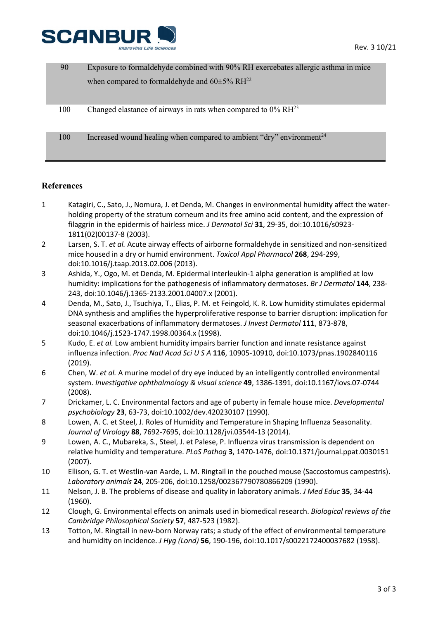

| 90  | Exposure to formaldehyde combined with 90% RH exercebates allergic asthma in mice |
|-----|-----------------------------------------------------------------------------------|
|     | when compared to formaldehyde and $60\pm5\%$ RH <sup>22</sup>                     |
|     |                                                                                   |
| 100 | Changed elastance of airways in rats when compared to $0\%$ RH <sup>23</sup>      |
|     |                                                                                   |
| 100 | Increased wound healing when compared to ambient "dry" environment <sup>24</sup>  |
|     |                                                                                   |

## **References**

- 1 Katagiri, C., Sato, J., Nomura, J. et Denda, M. Changes in environmental humidity affect the waterholding property of the stratum corneum and its free amino acid content, and the expression of filaggrin in the epidermis of hairless mice. *J Dermatol Sci* **31**, 29-35, doi:10.1016/s0923- 1811(02)00137-8 (2003).
- 2 Larsen, S. T. *et al.* Acute airway effects of airborne formaldehyde in sensitized and non-sensitized mice housed in a dry or humid environment. *Toxicol Appl Pharmacol* **268**, 294-299, doi:10.1016/j.taap.2013.02.006 (2013).
- 3 Ashida, Y., Ogo, M. et Denda, M. Epidermal interleukin-1 alpha generation is amplified at low humidity: implications for the pathogenesis of inflammatory dermatoses. *Br J Dermatol* **144**, 238- 243, doi:10.1046/j.1365-2133.2001.04007.x (2001).
- 4 Denda, M., Sato, J., Tsuchiya, T., Elias, P. M. et Feingold, K. R. Low humidity stimulates epidermal DNA synthesis and amplifies the hyperproliferative response to barrier disruption: implication for seasonal exacerbations of inflammatory dermatoses. *J Invest Dermatol* **111**, 873-878, doi:10.1046/j.1523-1747.1998.00364.x (1998).
- 5 Kudo, E. *et al.* Low ambient humidity impairs barrier function and innate resistance against influenza infection. *Proc Natl Acad Sci U S A* **116**, 10905-10910, doi:10.1073/pnas.1902840116 (2019).
- 6 Chen, W. *et al.* A murine model of dry eye induced by an intelligently controlled environmental system. *Investigative ophthalmology & visual science* **49**, 1386-1391, doi:10.1167/iovs.07-0744 (2008).
- 7 Drickamer, L. C. Environmental factors and age of puberty in female house mice. *Developmental psychobiology* **23**, 63-73, doi:10.1002/dev.420230107 (1990).
- 8 Lowen, A. C. et Steel, J. Roles of Humidity and Temperature in Shaping Influenza Seasonality. *Journal of Virology* **88**, 7692-7695, doi:10.1128/jvi.03544-13 (2014).
- 9 Lowen, A. C., Mubareka, S., Steel, J. et Palese, P. Influenza virus transmission is dependent on relative humidity and temperature. *PLoS Pathog* **3**, 1470-1476, doi:10.1371/journal.ppat.0030151 (2007).
- 10 Ellison, G. T. et Westlin-van Aarde, L. M. Ringtail in the pouched mouse (Saccostomus campestris). *Laboratory animals* **24**, 205-206, doi:10.1258/002367790780866209 (1990).
- 11 Nelson, J. B. The problems of disease and quality in laboratory animals. *J Med Educ* **35**, 34-44 (1960).
- 12 Clough, G. Environmental effects on animals used in biomedical research. *Biological reviews of the Cambridge Philosophical Society* **57**, 487-523 (1982).
- 13 Totton, M. Ringtail in new-born Norway rats; a study of the effect of environmental temperature and humidity on incidence. *J Hyg (Lond)* **56**, 190-196, doi:10.1017/s0022172400037682 (1958).